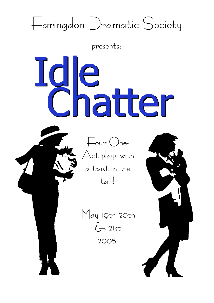# Faringdon Dramatic Society

presents:

Idle



May 19th 20th  $\xi$  21st 2005

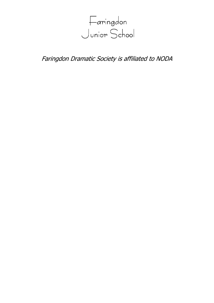

Faringdon Dramatic Society is affiliated to NODA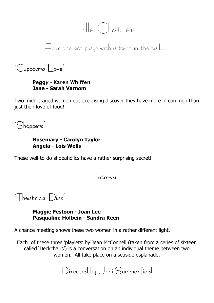## Idle Chatter

Four one act plays with a twist in the tail…

'Cupboard | ove'

#### Peggy - Karen Whiffen Jane - Sarah Varnom

Two middle-aged women out exercising discover they have more in common than just their love of food!



### Rosemary - Carolyn Taylor Angela - Lois Wells

These well-to-do shopaholics have a rather surprising secret!

Interval

'Theatrical Digs'

Maggie Festoon - Joan Lee Pasqualine Holbein - Sandra Keen

A chance meeting shows these two women in a rather different light.

Each of these three 'playlets' by Jean McConnell (taken from a series of sixteen called 'Deckchairs') is a conversation on an individual theme between two women. All take place on a seaside esplanade.

Directed by Jeni Summerfield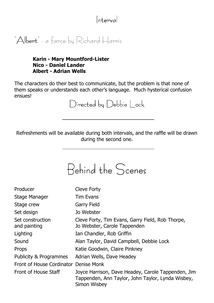## Interval

'Albert' - a farce by Richard Harris

### Karin - Mary Mountford-Lister Nico - Daniel Lander Albert - Adrian Wells

The characters do their best to communicate, but the problem is that none of them speaks or understands each other's language. Much hysterical confusion ensues!

 $Directed$  by  $Debbie$   $|~ock$ 

Refreshments will be available during both intervals, and the raffle will be drawn during the second one.

Behind the Scenes

| Producer                              | Cleve Forty                                                                                                             |
|---------------------------------------|-------------------------------------------------------------------------------------------------------------------------|
| Stage Manager                         | <b>Tim Evans</b>                                                                                                        |
| Stage crew                            | Garry Field                                                                                                             |
| Set design                            | Jo Webster                                                                                                              |
| Set construction<br>and painting      | Cleve Forty, Tim Evans, Garry Field, Rob Thorpe,<br>Jo Webster, Carole Tappenden                                        |
| Lighting                              | Ian Chandler, Rob Griffin                                                                                               |
| Sound                                 | Alan Taylor, David Campbell, Debbie Lock                                                                                |
| Props                                 | Katie Goodwin, Claire Pinkney                                                                                           |
| Publicity & Programmes                | Adrian Wells, Dave Headey                                                                                               |
| Front of House Cordinator Denise Monk |                                                                                                                         |
| Front of House Staff                  | Joyce Harrison, Dave Headey, Carole Tappenden, Jim<br>Tappenden, Ann Taylor, John Taylor, Lynda Wisbey,<br>Simon Wisbey |